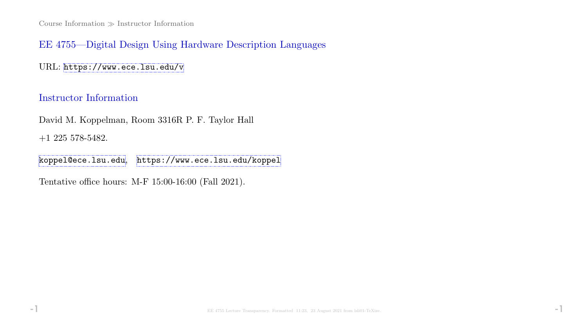# EE 4755—Digital Design Using Hardware Description Languages

URL: <https://www.ece.lsu.edu/v>

# Instructor Information

David M. Koppelman, Room 3316R P. F. Taylor Hall +1 225 578-5482.

[koppel@ece.lsu.edu](mailto:koppel@ece.lsu.edu), <https://www.ece.lsu.edu/koppel>

Tentative office hours: M-F 15:00-16:00 (Fall 2021).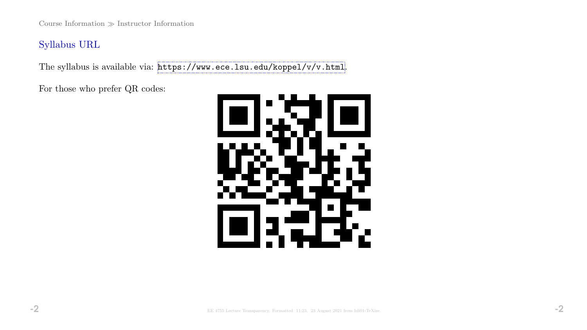Course Information  $\gg$  Instructor Information

Syllabus URL

The syllabus is available via: <https://www.ece.lsu.edu/koppel/v/v.html>.

For those who prefer QR codes:

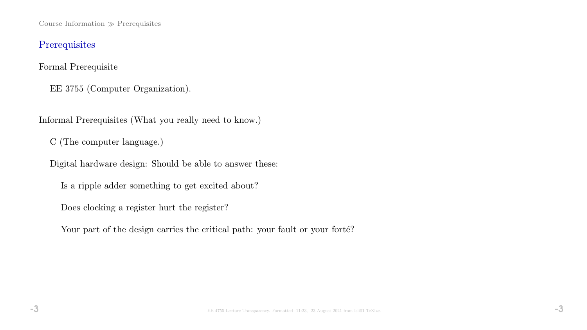Course Information  $\gg$  Prerequisites

# Prerequisites

Formal Prerequisite

EE 3755 (Computer Organization).

Informal Prerequisites (What you really need to know.)

C (The computer language.)

Digital hardware design: Should be able to answer these:

Is a ripple adder something to get excited about?

Does clocking a register hurt the register?

Your part of the design carries the critical path: your fault or your forté?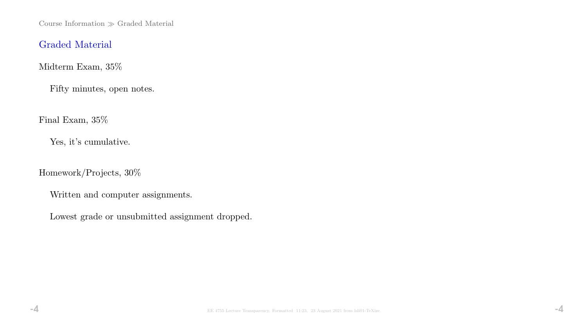Course Information  $\gg$  Graded Material

## Graded Material

Midterm Exam, 35%

Fifty minutes, open notes.

Final Exam, 35%

Yes, it's cumulative.

Homework/Projects, 30%

Written and computer assignments.

Lowest grade or unsubmitted assignment dropped.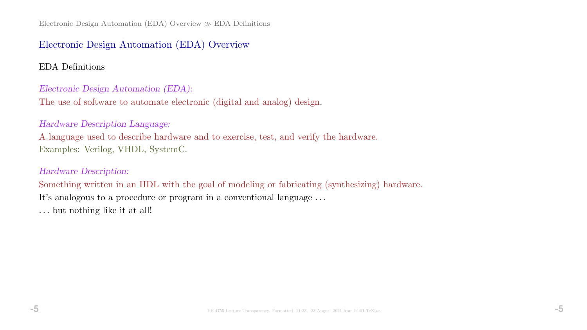# Electronic Design Automation (EDA) Overview

EDA Definitions

#### Electronic Design Automation (EDA):

The use of software to automate electronic (digital and analog) design.

#### Hardware Description Language:

A language used to describe hardware and to exercise, test, and verify the hardware. Examples: Verilog, VHDL, SystemC.

### Hardware Description:

Something written in an HDL with the goal of modeling or fabricating (synthesizing) hardware. It's analogous to a procedure or program in a conventional language . . . . . . but nothing like it at all!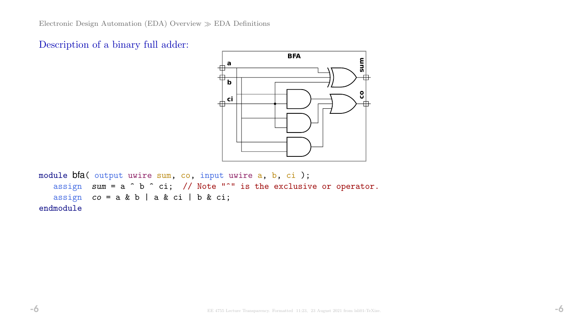



```
module bfa( output uwire sum, co, input uwire a, b, ci );
assign sum = a \hat{b} \hat{c} ci; // Note "<sup>o</sup>" is the exclusive or operator.
assign co = a & b \mid a & ci \mid b & ci;endmodule
```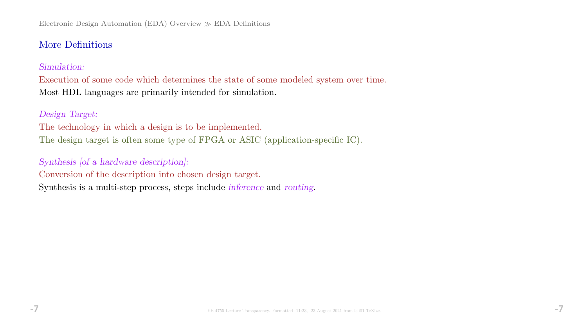# More Definitions

#### Simulation:

Execution of some code which determines the state of some modeled system over time. Most HDL languages are primarily intended for simulation.

### Design Target:

The technology in which a design is to be implemented. The design target is often some type of FPGA or ASIC (application-specific IC).

# Synthesis [of a hardware description]:

Conversion of the description into chosen design target.

Synthesis is a multi-step process, steps include inference and routing.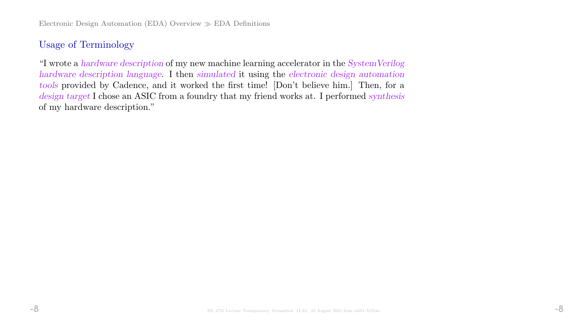# Usage of Terminology

"I wrote a hardware description of my new machine learning accelerator in the SystemVerilog hardware description language. I then simulated it using the electronic design automation tools provided by Cadence, and it worked the first time! [Don't believe him.] Then, for a design target I chose an ASIC from a foundry that my friend works at. I performed synthesis of my hardware description."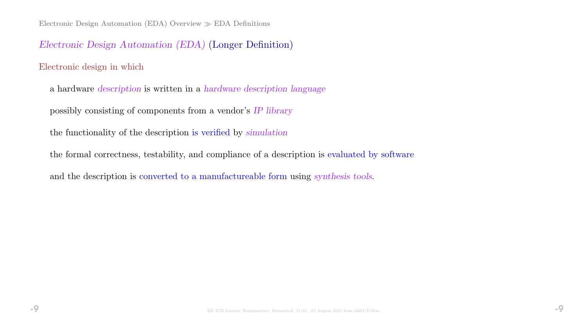# Electronic Design Automation (EDA) (Longer Definition)

#### Electronic design in which

- a hardware description is written in a hardware description language
- possibly consisting of components from a vendor's IP library
- the functionality of the description is verified by simulation
- the formal correctness, testability, and compliance of a description is evaluated by software
- and the description is converted to a manufactureable form using synthesis tools.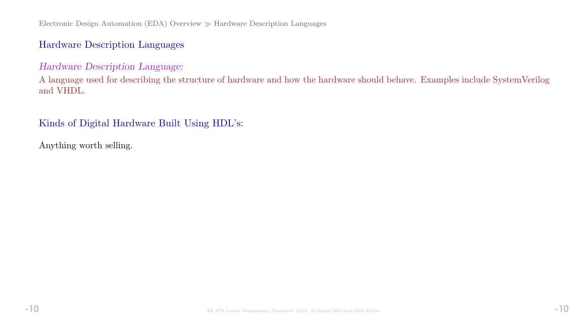# Hardware Description Languages

### Hardware Description Language:

A language used for describing the structure of hardware and how the hardware should behave. Examples include SystemVerilog and VHDL.

## Kinds of Digital Hardware Built Using HDL's:

Anything worth selling.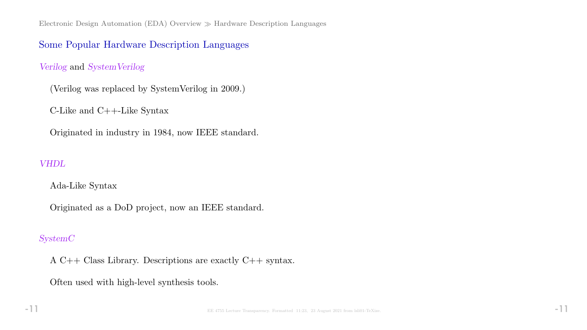Electronic Design Automation (EDA) Overview  $\gg$  Hardware Description Languages

### Some Popular Hardware Description Languages

#### Verilog and SystemVerilog

(Verilog was replaced by SystemVerilog in 2009.)

C-Like and C++-Like Syntax

Originated in industry in 1984, now IEEE standard.

#### VHDL

Ada-Like Syntax

Originated as a DoD project, now an IEEE standard.

#### SystemC

A C++ Class Library. Descriptions are exactly C++ syntax.

Often used with high-level synthesis tools.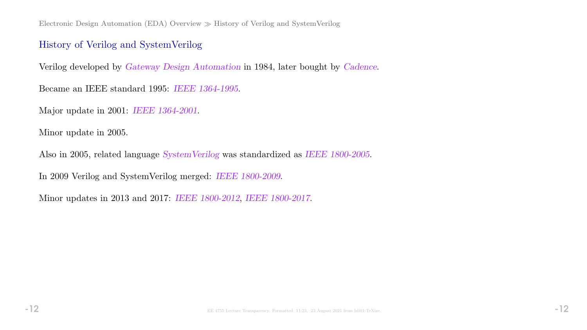Electronic Design Automation (EDA) Overview  $\gg$  History of Verilog and SystemVerilog

# History of Verilog and SystemVerilog

Verilog developed by Gateway Design Automation in 1984, later bought by Cadence.

Became an IEEE standard 1995: IEEE 1364-1995.

Major update in 2001: IEEE 1364-2001.

Minor update in 2005.

Also in 2005, related language SystemVerilog was standardized as IEEE 1800-2005.

In 2009 Verilog and SystemVerilog merged: IEEE 1800-2009.

Minor updates in 2013 and 2017: IEEE 1800-2012, IEEE 1800-2017.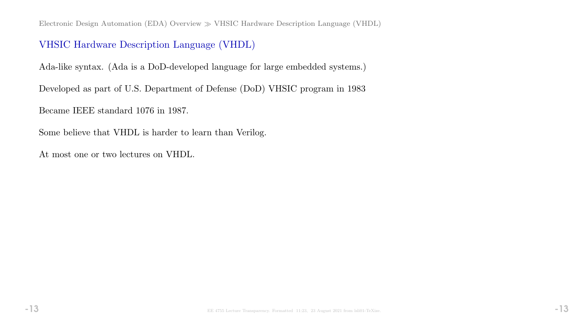Electronic Design Automation (EDA) Overview  $\gg$  VHSIC Hardware Description Language (VHDL)

# VHSIC Hardware Description Language (VHDL)

Ada-like syntax. (Ada is a DoD-developed language for large embedded systems.)

Developed as part of U.S. Department of Defense (DoD) VHSIC program in 1983

Became IEEE standard 1076 in 1987.

Some believe that VHDL is harder to learn than Verilog.

At most one or two lectures on VHDL.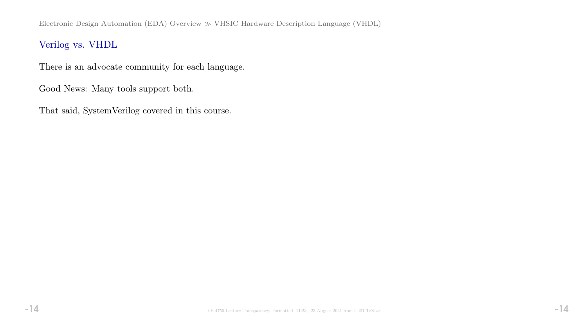# Verilog vs. VHDL

There is an advocate community for each language.

Good News: Many tools support both.

That said, SystemVerilog covered in this course.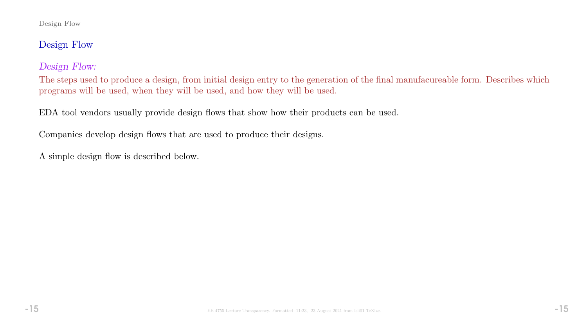#### Design Flow

# Design Flow

# Design Flow:

The steps used to produce a design, from initial design entry to the generation of the final manufacureable form. Describes which programs will be used, when they will be used, and how they will be used.

EDA tool vendors usually provide design flows that show how their products can be used.

Companies develop design flows that are used to produce their designs.

A simple design flow is described below.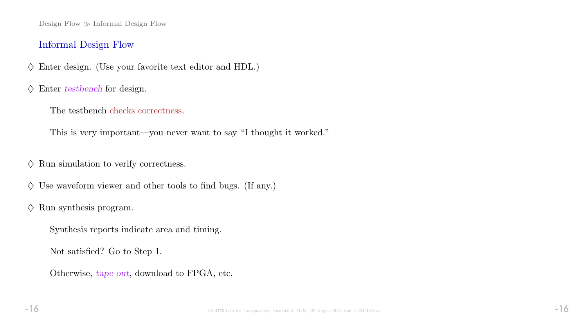Design Flow  $\gg$  Informal Design Flow

### Informal Design Flow

- $\diamondsuit$  Enter design. (Use your favorite text editor and HDL.)
- $\diamondsuit$  Enter testbench for design.
	- The testbench checks correctness.

This is very important—you never want to say "I thought it worked."

- $\diamondsuit$  Run simulation to verify correctness.
- $\diamondsuit$  Use waveform viewer and other tools to find bugs. (If any.)
- $\diamondsuit$  Run synthesis program.
	- Synthesis reports indicate area and timing.
	- Not satisfied? Go to Step 1.
	- Otherwise, tape out, download to FPGA, etc.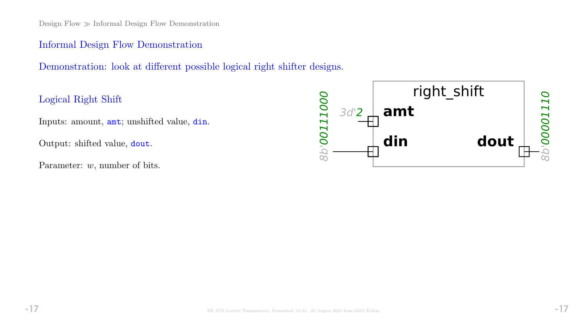Design Flow  $\gg$  Informal Design Flow Demonstration

### Informal Design Flow Demonstration

Demonstration: look at different possible logical right shifter designs.

Logical Right Shift

Inputs: amount, amt; unshifted value, din.

Output: shifted value, dout.

Parameter: w, number of bits.

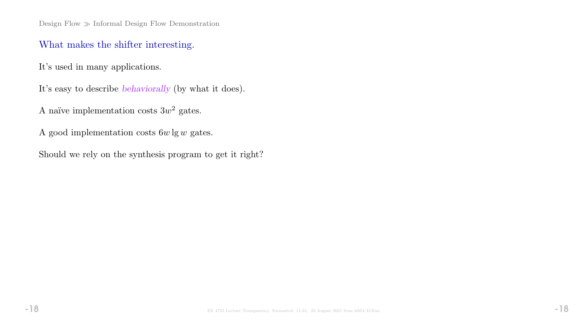Design Flow  $\gg$  Informal Design Flow Demonstration

# What makes the shifter interesting.

It's used in many applications.

It's easy to describe behaviorally (by what it does).

A naïve implementation costs  $3w^2$  gates.

A good implementation costs  $6w\lg w$  gates.

Should we rely on the synthesis program to get it right?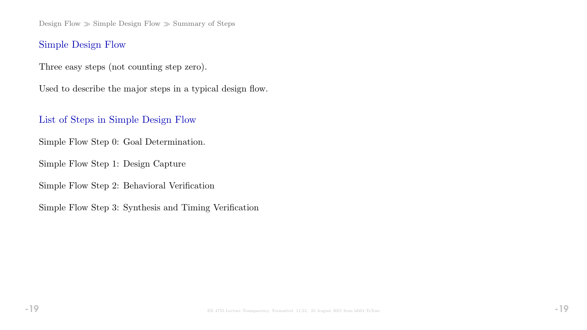Design Flow  $\gg$  Simple Design Flow  $\gg$  Summary of Steps

# Simple Design Flow

Three easy steps (not counting step zero).

Used to describe the major steps in a typical design flow.

List of Steps in Simple Design Flow

Simple Flow Step 0: Goal Determination.

Simple Flow Step 1: Design Capture

Simple Flow Step 2: Behavioral Verification

Simple Flow Step 3: Synthesis and Timing Verification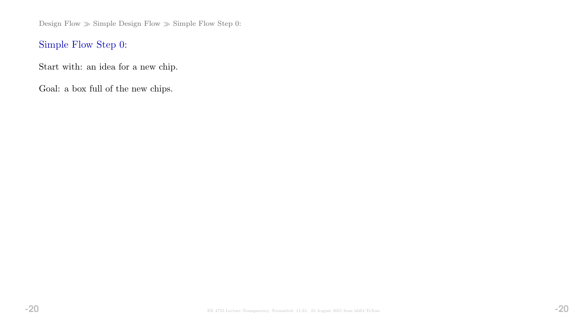Design Flow  $\gg$  Simple Design Flow  $\gg$  Simple Flow Step 0:

# Simple Flow Step 0:

Start with: an idea for a new chip.

Goal: a box full of the new chips.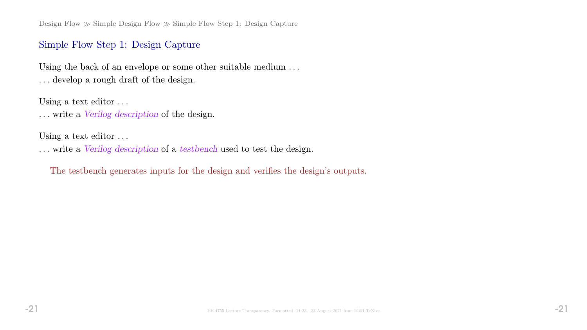Design Flow  $\gg$  Simple Design Flow  $\gg$  Simple Flow Step 1: Design Capture

### Simple Flow Step 1: Design Capture

Using the back of an envelope or some other suitable medium . . . . . . develop a rough draft of the design.

Using a text editor ...

. . . write a Verilog description of the design.

Using a text editor ...

. . . write a Verilog description of a testbench used to test the design.

The testbench generates inputs for the design and verifies the design's outputs.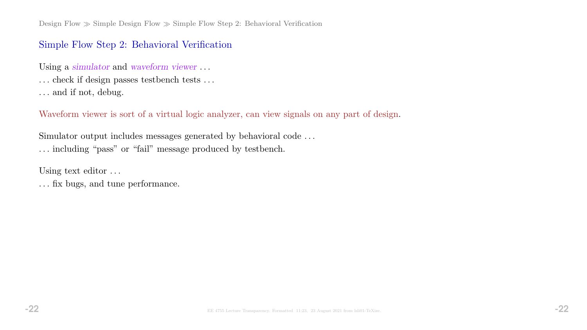# Simple Flow Step 2: Behavioral Verification

Using a simulator and waveform viewer ...

- . . . check if design passes testbench tests . . .
- . . . and if not, debug.

Waveform viewer is sort of a virtual logic analyzer, can view signals on any part of design.

Simulator output includes messages generated by behavioral code . . . . . . including "pass" or "fail" message produced by testbench.

Using text editor . . .

. . . fix bugs, and tune performance.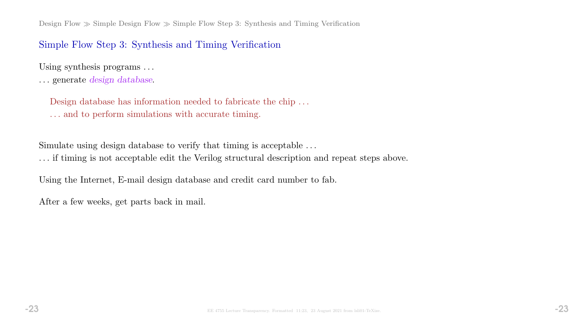Design Flow  $\gg$  Simple Design Flow  $\gg$  Simple Flow Step 3: Synthesis and Timing Verification

#### Simple Flow Step 3: Synthesis and Timing Verification

Using synthesis programs ...

. . . generate design database.

Design database has information needed to fabricate the chip . . . . . . and to perform simulations with accurate timing.

Simulate using design database to verify that timing is acceptable . . .

. . . if timing is not acceptable edit the Verilog structural description and repeat steps above.

Using the Internet, E-mail design database and credit card number to fab.

After a few weeks, get parts back in mail.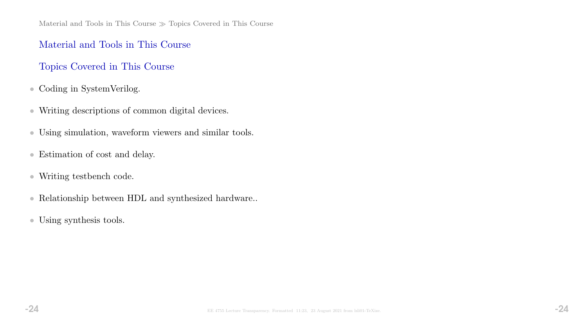Material and Tools in This Course  $\gg$  Topics Covered in This Course

### Material and Tools in This Course

# Topics Covered in This Course

- Coding in SystemVerilog.
- Writing descriptions of common digital devices.
- Using simulation, waveform viewers and similar tools.
- Estimation of cost and delay.
- Writing testbench code.
- Relationship between HDL and synthesized hardware..
- Using synthesis tools.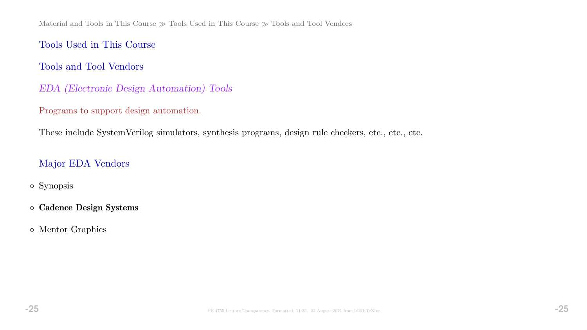Material and Tools in This Course  $\gg$  Tools Used in This Course  $\gg$  Tools and Tool Vendors

Tools Used in This Course

Tools and Tool Vendors

- EDA (Electronic Design Automation) Tools
- Programs to support design automation.

These include SystemVerilog simulators, synthesis programs, design rule checkers, etc., etc., etc.

# Major EDA Vendors

- Synopsis
- Cadence Design Systems
- Mentor Graphics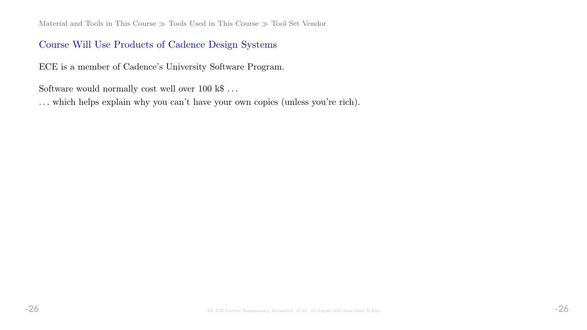Material and Tools in This Course  $\gg$  Tools Used in This Course  $\gg$  Tool Set Vendor

### Course Will Use Products of Cadence Design Systems

ECE is a member of Cadence's University Software Program.

Software would normally cost well over  $100$ <br> $\rm k\$   $\ldots$ 

. . . which helps explain why you can't have your own copies (unless you're rich).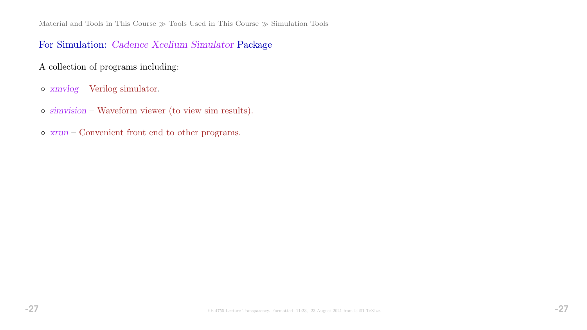Material and Tools in This Course  $\gg$  Tools Used in This Course  $\gg$  Simulation Tools

## For Simulation: Cadence Xcelium Simulator Package

- A collection of programs including:
- xmvlog Verilog simulator.
- simvision Waveform viewer (to view sim results).
- xrun Convenient front end to other programs.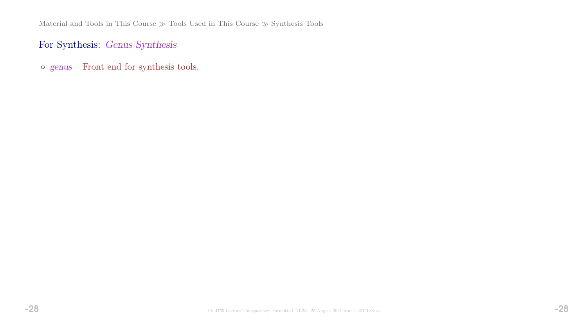# For Synthesis: Genus Synthesis

◦ genus – Front end for synthesis tools.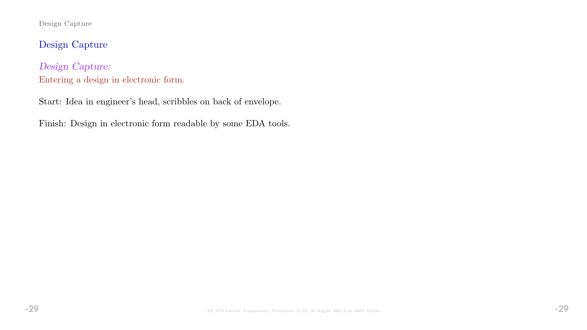Design Capture

Design Capture

Design Capture: Entering a design in electronic form.

Start: Idea in engineer's head, scribbles on back of envelope.

Finish: Design in electronic form readable by some EDA tools.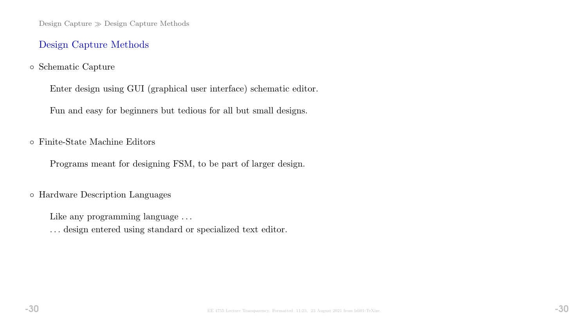Design Capture  $\gg$  Design Capture Methods

### Design Capture Methods

### ◦ Schematic Capture

Enter design using GUI (graphical user interface) schematic editor.

Fun and easy for beginners but tedious for all but small designs.

◦ Finite-State Machine Editors

Programs meant for designing FSM, to be part of larger design.

◦ Hardware Description Languages

Like any programming language ...

. . . design entered using standard or specialized text editor.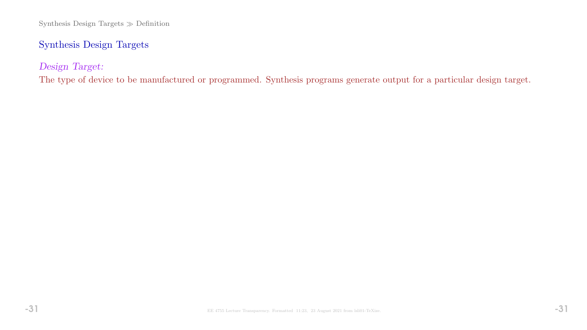# Synthesis Design Targets

Design Target:

The type of device to be manufactured or programmed. Synthesis programs generate output for a particular design target.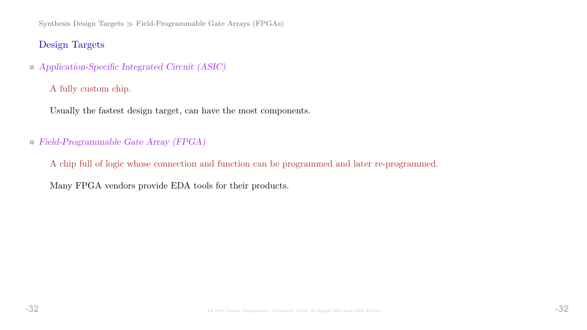Synthesis Design Targets  $\gg$  Field-Programmable Gate Arrays (FPGAs)

## Design Targets

◦ Application-Specific Integrated Circuit (ASIC)

A fully custom chip.

Usually the fastest design target, can have the most components.

### ◦ Field-Programmable Gate Array (FPGA)

A chip full of logic whose connection and function can be programmed and later re-programmed.

Many FPGA vendors provide EDA tools for their products.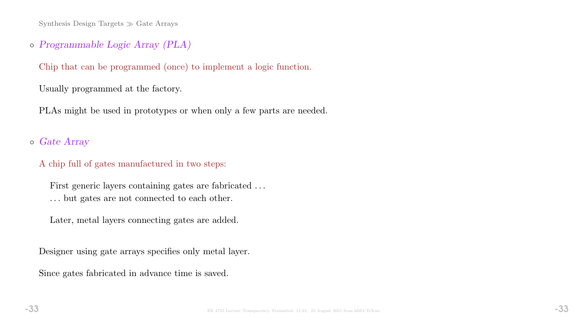Synthesis Design Targets  $\gg$  Gate Arrays

# ◦ Programmable Logic Array (PLA)

Chip that can be programmed (once) to implement a logic function.

Usually programmed at the factory.

PLAs might be used in prototypes or when only a few parts are needed.

# ◦ Gate Array

#### A chip full of gates manufactured in two steps:

First generic layers containing gates are fabricated . . . . . . but gates are not connected to each other.

Later, metal layers connecting gates are added.

Designer using gate arrays specifies only metal layer.

Since gates fabricated in advance time is saved.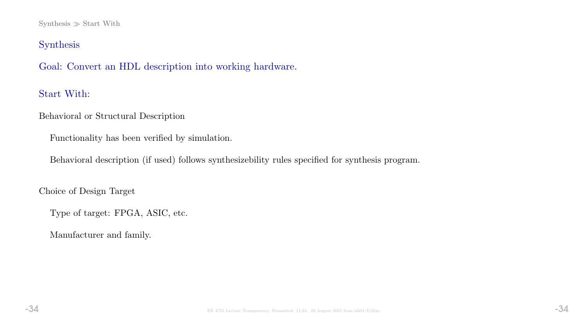#### Synthesis  $\gg$  Start With

# Synthesis

Goal: Convert an HDL description into working hardware.

# Start With:

Behavioral or Structural Description

Functionality has been verified by simulation.

Behavioral description (if used) follows synthesizebility rules specified for synthesis program.

Choice of Design Target

Type of target: FPGA, ASIC, etc.

Manufacturer and family.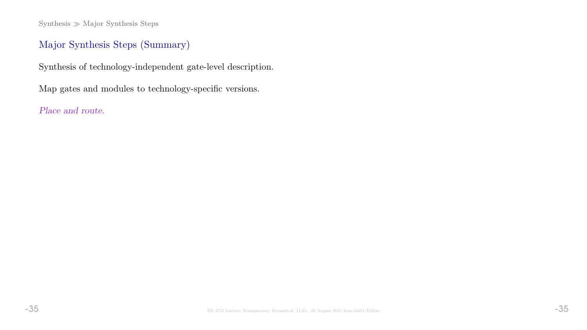$Synthesis \gg Major Synthesis Steps$ 

# Major Synthesis Steps (Summary)

Synthesis of technology-independent gate-level description.

Map gates and modules to technology-specific versions.

Place and route.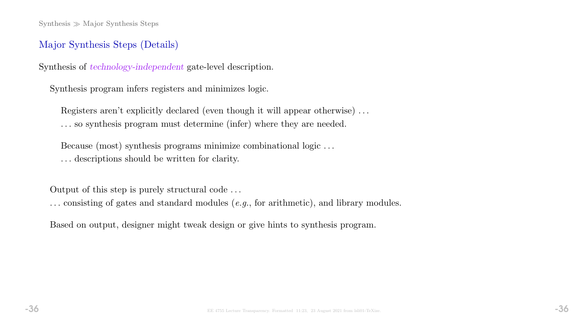# Major Synthesis Steps (Details)

Synthesis of technology-independent gate-level description.

Synthesis program infers registers and minimizes logic.

Registers aren't explicitly declared (even though it will appear otherwise) . . . . . . so synthesis program must determine (infer) where they are needed.

Because (most) synthesis programs minimize combinational logic . . . . . . descriptions should be written for clarity.

Output of this step is purely structural code . . .

. . . consisting of gates and standard modules (e.g., for arithmetic), and library modules.

Based on output, designer might tweak design or give hints to synthesis program.